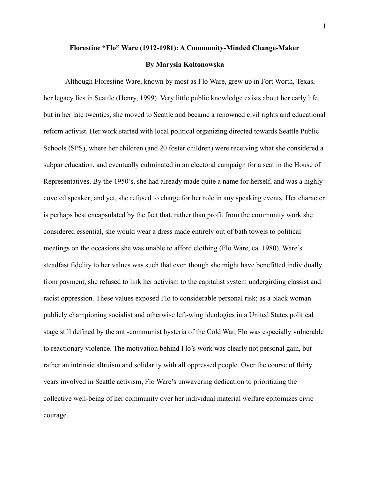## **Florestine "Flo" Ware (1912-1981): A Community-Minded Change-Maker**

## **By Marysia Koltonowska**

Although Florestine Ware, known by most as Flo Ware, grew up in Fort Worth, Texas, her legacy lies in Seattle (Henry, 1999). Very little public knowledge exists about her early life, but in her late twenties, she moved to Seattle and became a renowned civil rights and educational reform activist. Her work started with local political organizing directed towards Seattle Public Schools (SPS), where her children (and 20 foster children) were receiving what she considered a subpar education, and eventually culminated in an electoral campaign for a seat in the House of Representatives. By the 1950's, she had already made quite a name for herself, and was a highly coveted speaker; and yet, she refused to charge for her role in any speaking events. Her character is perhaps best encapsulated by the fact that, rather than profit from the community work she considered essential, she would wear a dress made entirely out of bath towels to political meetings on the occasions she was unable to afford clothing (Flo Ware, ca. 1980). Ware's steadfast fidelity to her values was such that even though she might have benefitted individually from payment, she refused to link her activism to the capitalist system undergirding classist and racist oppression. These values exposed Flo to considerable personal risk; as a black woman publicly championing socialist and otherwise left-wing ideologies in a United States political stage still defined by the anti-communist hysteria of the Cold War, Flo was especially vulnerable to reactionary violence. The motivation behind Flo's work was clearly not personal gain, but rather an intrinsic altruism and solidarity with all oppressed people. Over the course of thirty years involved in Seattle activism, Flo Ware's unwavering dedication to prioritizing the collective well-being of her community over her individual material welfare epitomizes civic courage.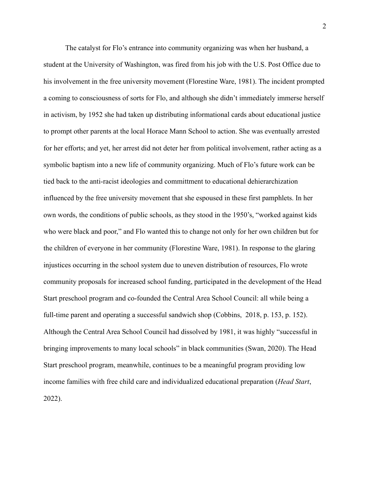The catalyst for Flo's entrance into community organizing was when her husband, a student at the University of Washington, was fired from his job with the U.S. Post Office due to his involvement in the free university movement (Florestine Ware, 1981). The incident prompted a coming to consciousness of sorts for Flo, and although she didn't immediately immerse herself in activism, by 1952 she had taken up distributing informational cards about educational justice to prompt other parents at the local Horace Mann School to action. She was eventually arrested for her efforts; and yet, her arrest did not deter her from political involvement, rather acting as a symbolic baptism into a new life of community organizing. Much of Flo's future work can be tied back to the anti-racist ideologies and committment to educational dehierarchization influenced by the free university movement that she espoused in these first pamphlets. In her own words, the conditions of public schools, as they stood in the 1950's, "worked against kids who were black and poor," and Flo wanted this to change not only for her own children but for the children of everyone in her community (Florestine Ware, 1981). In response to the glaring injustices occurring in the school system due to uneven distribution of resources, Flo wrote community proposals for increased school funding, participated in the development of the Head Start preschool program and co-founded the Central Area School Council: all while being a full-time parent and operating a successful sandwich shop (Cobbins, 2018, p. 153, p. 152). Although the Central Area School Council had dissolved by 1981, it was highly "successful in bringing improvements to many local schools" in black communities (Swan, 2020). The Head Start preschool program, meanwhile, continues to be a meaningful program providing low income families with free child care and individualized educational preparation (*Head Start*, 2022).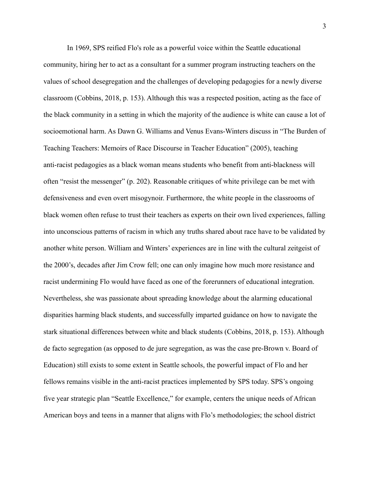In 1969, SPS reified Flo's role as a powerful voice within the Seattle educational community, hiring her to act as a consultant for a summer program instructing teachers on the values of school desegregation and the challenges of developing pedagogies for a newly diverse classroom (Cobbins, 2018, p. 153). Although this was a respected position, acting as the face of the black community in a setting in which the majority of the audience is white can cause a lot of socioemotional harm. As Dawn G. Williams and Venus Evans-Winters discuss in "The Burden of Teaching Teachers: Memoirs of Race Discourse in Teacher Education" (2005), teaching anti-racist pedagogies as a black woman means students who benefit from anti-blackness will often "resist the messenger" (p. 202). Reasonable critiques of white privilege can be met with defensiveness and even overt misogynoir. Furthermore, the white people in the classrooms of black women often refuse to trust their teachers as experts on their own lived experiences, falling into unconscious patterns of racism in which any truths shared about race have to be validated by another white person. William and Winters' experiences are in line with the cultural zeitgeist of the 2000's, decades after Jim Crow fell; one can only imagine how much more resistance and racist undermining Flo would have faced as one of the forerunners of educational integration. Nevertheless, she was passionate about spreading knowledge about the alarming educational disparities harming black students, and successfully imparted guidance on how to navigate the stark situational differences between white and black students (Cobbins, 2018, p. 153). Although de facto segregation (as opposed to de jure segregation, as was the case pre-Brown v. Board of Education) still exists to some extent in Seattle schools, the powerful impact of Flo and her fellows remains visible in the anti-racist practices implemented by SPS today. SPS's ongoing five year strategic plan "Seattle Excellence," for example, centers the unique needs of African American boys and teens in a manner that aligns with Flo's methodologies; the school district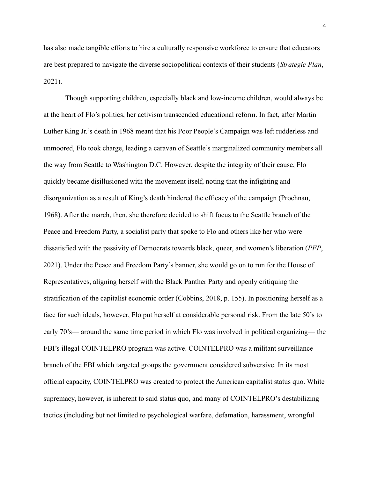has also made tangible efforts to hire a culturally responsive workforce to ensure that educators are best prepared to navigate the diverse sociopolitical contexts of their students (*Strategic Plan*, 2021).

Though supporting children, especially black and low-income children, would always be at the heart of Flo's politics, her activism transcended educational reform. In fact, after Martin Luther King Jr.'s death in 1968 meant that his Poor People's Campaign was left rudderless and unmoored, Flo took charge, leading a caravan of Seattle's marginalized community members all the way from Seattle to Washington D.C. However, despite the integrity of their cause, Flo quickly became disillusioned with the movement itself, noting that the infighting and disorganization as a result of King's death hindered the efficacy of the campaign (Prochnau, 1968). After the march, then, she therefore decided to shift focus to the Seattle branch of the Peace and Freedom Party, a socialist party that spoke to Flo and others like her who were dissatisfied with the passivity of Democrats towards black, queer, and women's liberation (*PFP*, 2021). Under the Peace and Freedom Party's banner, she would go on to run for the House of Representatives, aligning herself with the Black Panther Party and openly critiquing the stratification of the capitalist economic order (Cobbins, 2018, p. 155). In positioning herself as a face for such ideals, however, Flo put herself at considerable personal risk. From the late 50's to early 70's— around the same time period in which Flo was involved in political organizing— the FBI's illegal COINTELPRO program was active. COINTELPRO was a militant surveillance branch of the FBI which targeted groups the government considered subversive. In its most official capacity, COINTELPRO was created to protect the American capitalist status quo. White supremacy, however, is inherent to said status quo, and many of COINTELPRO's destabilizing tactics (including but not limited to psychological warfare, defamation, harassment, wrongful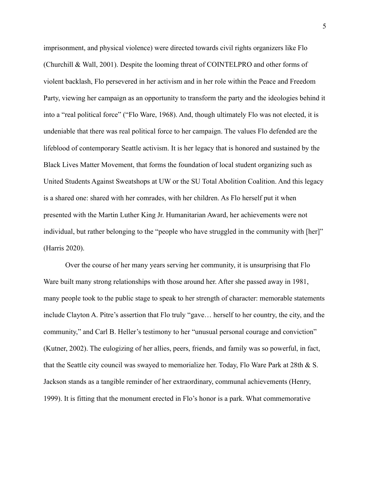imprisonment, and physical violence) were directed towards civil rights organizers like Flo (Churchill & Wall, 2001). Despite the looming threat of COINTELPRO and other forms of violent backlash, Flo persevered in her activism and in her role within the Peace and Freedom Party, viewing her campaign as an opportunity to transform the party and the ideologies behind it into a "real political force" ("Flo Ware, 1968). And, though ultimately Flo was not elected, it is undeniable that there was real political force to her campaign. The values Flo defended are the lifeblood of contemporary Seattle activism. It is her legacy that is honored and sustained by the Black Lives Matter Movement, that forms the foundation of local student organizing such as United Students Against Sweatshops at UW or the SU Total Abolition Coalition. And this legacy is a shared one: shared with her comrades, with her children. As Flo herself put it when presented with the Martin Luther King Jr. Humanitarian Award, her achievements were not individual, but rather belonging to the "people who have struggled in the community with [her]" (Harris 2020).

Over the course of her many years serving her community, it is unsurprising that Flo Ware built many strong relationships with those around her. After she passed away in 1981, many people took to the public stage to speak to her strength of character: memorable statements include Clayton A. Pitre's assertion that Flo truly "gave… herself to her country, the city, and the community," and Carl B. Heller's testimony to her "unusual personal courage and conviction" (Kutner, 2002). The eulogizing of her allies, peers, friends, and family was so powerful, in fact, that the Seattle city council was swayed to memorialize her. Today, Flo Ware Park at 28th & S. Jackson stands as a tangible reminder of her extraordinary, communal achievements (Henry, 1999). It is fitting that the monument erected in Flo's honor is a park. What commemorative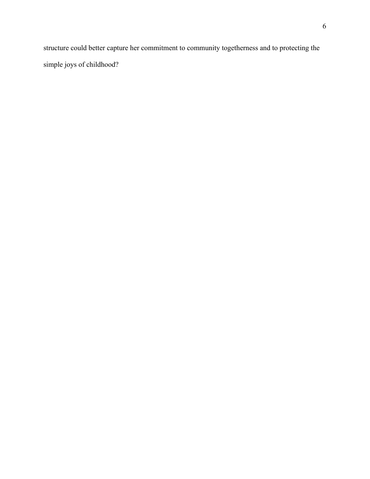structure could better capture her commitment to community togetherness and to protecting the simple joys of childhood?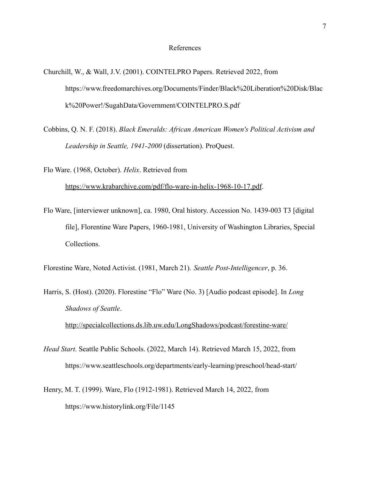## References

Churchill, W., & Wall, J.V. (2001). COINTELPRO Papers. Retrieved 2022, from https://www.freedomarchives.org/Documents/Finder/Black%20Liberation%20Disk/Blac k%20Power!/SugahData/Government/COINTELPRO.S.pdf

Cobbins, Q. N. F. (2018). *Black Emeralds: African American Women's Political Activism and Leadership in Seattle, 1941-2000* (dissertation). ProQuest.

Flo Ware. (1968, October). *Helix*. Retrieved from

<https://www.krabarchive.com/pdf/flo-ware-in-helix-1968-10-17.pdf>.

Flo Ware, [interviewer unknown], ca. 1980, Oral history. Accession No. 1439-003 T3 [digital file], Florentine Ware Papers, 1960-1981, University of Washington Libraries, Special Collections.

Florestine Ware, Noted Activist. (1981, March 21). *Seattle Post-Intelligencer*, p. 36.

Harris, S. (Host). (2020). Florestine "Flo" Ware (No. 3) [Audio podcast episode]. In *Long Shadows of Seattle*. <http://specialcollections.ds.lib.uw.edu/LongShadows/podcast/forestine-ware/>

- *Head Start*. Seattle Public Schools. (2022, March 14). Retrieved March 15, 2022, from https://www.seattleschools.org/departments/early-learning/preschool/head-start/
- Henry, M. T. (1999). Ware, Flo (1912-1981). Retrieved March 14, 2022, from https://www.historylink.org/File/1145